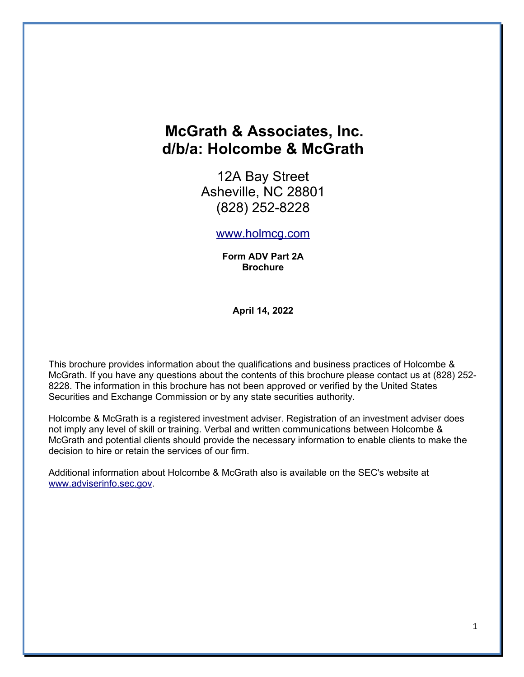# **McGrath & Associates, Inc. d/b/a: Holcombe & McGrath**

12A Bay Street Asheville, NC 28801 (828) 252-8228

### [www.holmcg.com](http://www.holmcg.com/)

**Form ADV Part 2A Brochure**

**April 14, 2022**

This brochure provides information about the qualifications and business practices of Holcombe & McGrath. If you have any questions about the contents of this brochure please contact us at (828) 252- 8228. The information in this brochure has not been approved or verified by the United States Securities and Exchange Commission or by any state securities authority.

Holcombe & McGrath is a registered investment adviser. Registration of an investment adviser does not imply any level of skill or training. Verbal and written communications between Holcombe & McGrath and potential clients should provide the necessary information to enable clients to make the decision to hire or retain the services of our firm.

Additional information about Holcombe & McGrath also is available on the SEC's website at [www.adviserinfo.sec.gov.](http://www.adviserinfo.sec.gov/)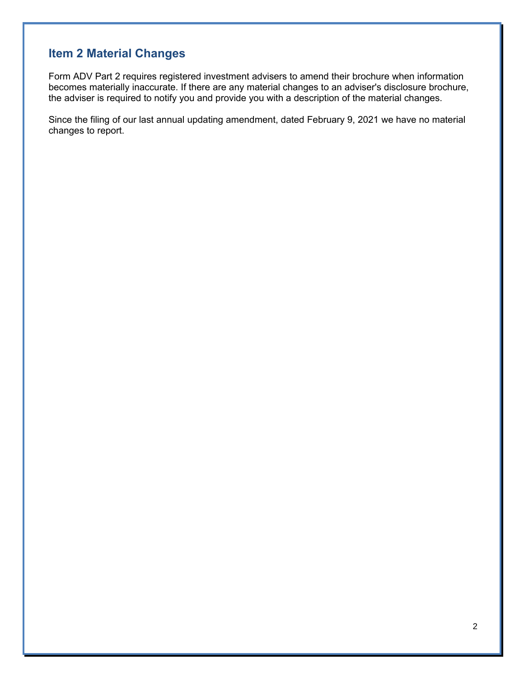# **Item 2 Material Changes**

Form ADV Part 2 requires registered investment advisers to amend their brochure when information becomes materially inaccurate. If there are any material changes to an adviser's disclosure brochure, the adviser is required to notify you and provide you with a description of the material changes.

Since the filing of our last annual updating amendment, dated February 9, 2021 we have no material changes to report.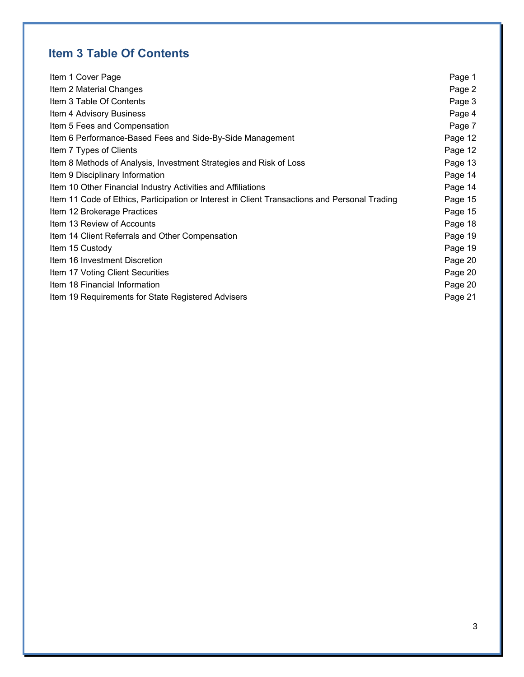# **Item 3 Table Of Contents**

| Item 1 Cover Page                                                                             | Page 1  |  |
|-----------------------------------------------------------------------------------------------|---------|--|
| Item 2 Material Changes                                                                       |         |  |
| Item 3 Table Of Contents                                                                      |         |  |
| Item 4 Advisory Business                                                                      |         |  |
| Item 5 Fees and Compensation                                                                  |         |  |
| Item 6 Performance-Based Fees and Side-By-Side Management                                     |         |  |
| Item 7 Types of Clients                                                                       | Page 12 |  |
| Item 8 Methods of Analysis, Investment Strategies and Risk of Loss                            |         |  |
| Item 9 Disciplinary Information                                                               | Page 14 |  |
| Item 10 Other Financial Industry Activities and Affiliations                                  |         |  |
| Item 11 Code of Ethics, Participation or Interest in Client Transactions and Personal Trading |         |  |
| Item 12 Brokerage Practices                                                                   |         |  |
| Item 13 Review of Accounts                                                                    |         |  |
| Item 14 Client Referrals and Other Compensation                                               | Page 19 |  |
| Item 15 Custody                                                                               | Page 19 |  |
| Item 16 Investment Discretion                                                                 | Page 20 |  |
| Item 17 Voting Client Securities                                                              | Page 20 |  |
| Item 18 Financial Information                                                                 | Page 20 |  |
| Item 19 Requirements for State Registered Advisers                                            | Page 21 |  |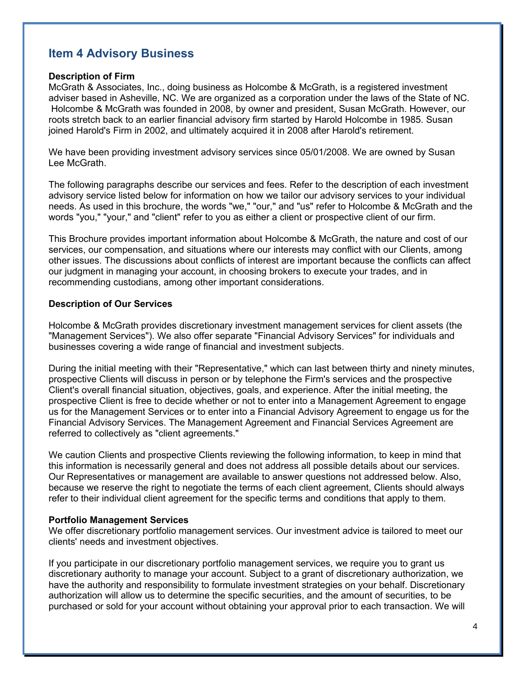## **Item 4 Advisory Business**

#### **Description of Firm**

McGrath & Associates, Inc., doing business as Holcombe & McGrath, is a registered investment adviser based in Asheville, NC. We are organized as a corporation under the laws of the State of NC. Holcombe & McGrath was founded in 2008, by owner and president, Susan McGrath. However, our roots stretch back to an earlier financial advisory firm started by Harold Holcombe in 1985. Susan joined Harold's Firm in 2002, and ultimately acquired it in 2008 after Harold's retirement.

We have been providing investment advisory services since 05/01/2008. We are owned by Susan Lee McGrath.

The following paragraphs describe our services and fees. Refer to the description of each investment advisory service listed below for information on how we tailor our advisory services to your individual needs. As used in this brochure, the words "we," "our," and "us" refer to Holcombe & McGrath and the words "you," "your," and "client" refer to you as either a client or prospective client of our firm.

This Brochure provides important information about Holcombe & McGrath, the nature and cost of our services, our compensation, and situations where our interests may conflict with our Clients, among other issues. The discussions about conflicts of interest are important because the conflicts can affect our judgment in managing your account, in choosing brokers to execute your trades, and in recommending custodians, among other important considerations.

#### **Description of Our Services**

Holcombe & McGrath provides discretionary investment management services for client assets (the "Management Services"). We also offer separate "Financial Advisory Services" for individuals and businesses covering a wide range of financial and investment subjects.

During the initial meeting with their "Representative," which can last between thirty and ninety minutes, prospective Clients will discuss in person or by telephone the Firm's services and the prospective Client's overall financial situation, objectives, goals, and experience. After the initial meeting, the prospective Client is free to decide whether or not to enter into a Management Agreement to engage us for the Management Services or to enter into a Financial Advisory Agreement to engage us for the Financial Advisory Services. The Management Agreement and Financial Services Agreement are referred to collectively as "client agreements."

We caution Clients and prospective Clients reviewing the following information, to keep in mind that this information is necessarily general and does not address all possible details about our services. Our Representatives or management are available to answer questions not addressed below. Also, because we reserve the right to negotiate the terms of each client agreement, Clients should always refer to their individual client agreement for the specific terms and conditions that apply to them.

#### **Portfolio Management Services**

We offer discretionary portfolio management services. Our investment advice is tailored to meet our clients' needs and investment objectives.

If you participate in our discretionary portfolio management services, we require you to grant us discretionary authority to manage your account. Subject to a grant of discretionary authorization, we have the authority and responsibility to formulate investment strategies on your behalf. Discretionary authorization will allow us to determine the specific securities, and the amount of securities, to be purchased or sold for your account without obtaining your approval prior to each transaction. We will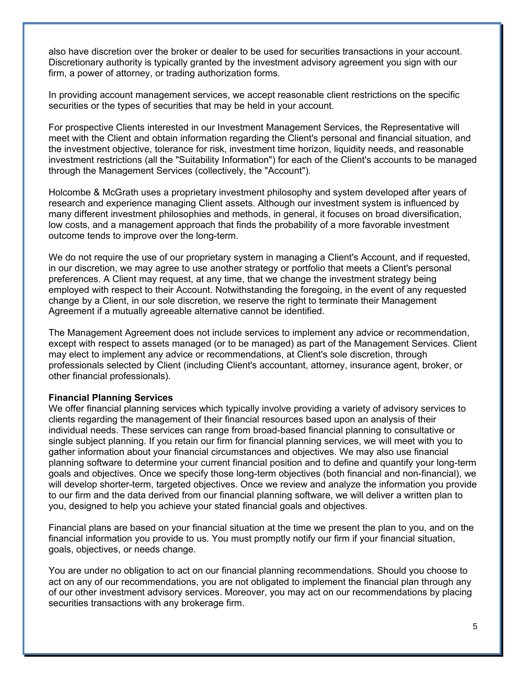also have discretion over the broker or dealer to be used for securities transactions in your account. Discretionary authority is typically granted by the investment advisory agreement you sign with our firm, a power of attorney, or trading authorization forms.

In providing account management services, we accept reasonable client restrictions on the specific securities or the types of securities that may be held in your account.

For prospective Clients interested in our Investment Management Services, the Representative will meet with the Client and obtain information regarding the Client's personal and financial situation, and the investment objective, tolerance for risk, investment time horizon, liquidity needs, and reasonable investment restrictions (all the "Suitability Information") for each of the Client's accounts to be managed through the Management Services (collectively, the "Account").

Holcombe & McGrath uses a proprietary investment philosophy and system developed after years of research and experience managing Client assets. Although our investment system is influenced by many different investment philosophies and methods, in general, it focuses on broad diversification, low costs, and a management approach that finds the probability of a more favorable investment outcome tends to improve over the long-term.

We do not require the use of our proprietary system in managing a Client's Account, and if requested, in our discretion, we may agree to use another strategy or portfolio that meets a Client's personal preferences. A Client may request, at any time, that we change the investment strategy being employed with respect to their Account. Notwithstanding the foregoing, in the event of any requested change by a Client, in our sole discretion, we reserve the right to terminate their Management Agreement if a mutually agreeable alternative cannot be identified.

The Management Agreement does not include services to implement any advice or recommendation, except with respect to assets managed (or to be managed) as part of the Management Services. Client may elect to implement any advice or recommendations, at Client's sole discretion, through professionals selected by Client (including Client's accountant, attorney, insurance agent, broker, or other financial professionals).

#### **Financial Planning Services**

We offer financial planning services which typically involve providing a variety of advisory services to clients regarding the management of their financial resources based upon an analysis of their individual needs. These services can range from broad-based financial planning to consultative or single subject planning. If you retain our firm for financial planning services, we will meet with you to gather information about your financial circumstances and objectives. We may also use financial planning software to determine your current financial position and to define and quantify your long-term goals and objectives. Once we specify those long-term objectives (both financial and non-financial), we will develop shorter-term, targeted objectives. Once we review and analyze the information you provide to our firm and the data derived from our financial planning software, we will deliver a written plan to you, designed to help you achieve your stated financial goals and objectives.

Financial plans are based on your financial situation at the time we present the plan to you, and on the financial information you provide to us. You must promptly notify our firm if your financial situation, goals, objectives, or needs change.

You are under no obligation to act on our financial planning recommendations. Should you choose to act on any of our recommendations, you are not obligated to implement the financial plan through any of our other investment advisory services. Moreover, you may act on our recommendations by placing securities transactions with any brokerage firm.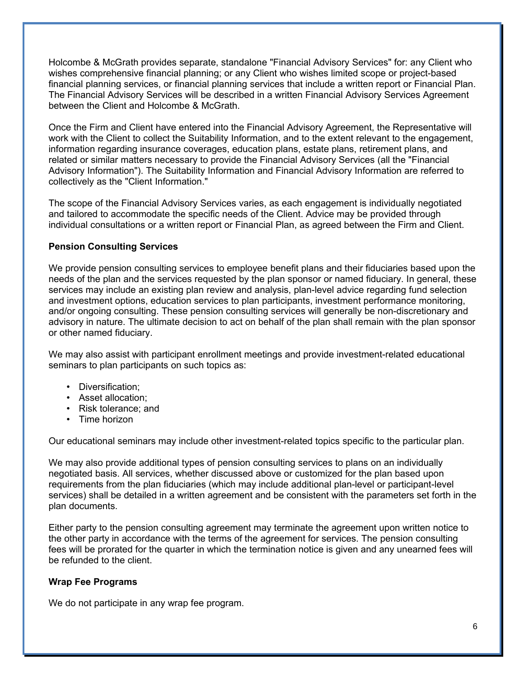Holcombe & McGrath provides separate, standalone "Financial Advisory Services" for: any Client who wishes comprehensive financial planning; or any Client who wishes limited scope or project-based financial planning services, or financial planning services that include a written report or Financial Plan. The Financial Advisory Services will be described in a written Financial Advisory Services Agreement between the Client and Holcombe & McGrath.

Once the Firm and Client have entered into the Financial Advisory Agreement, the Representative will work with the Client to collect the Suitability Information, and to the extent relevant to the engagement, information regarding insurance coverages, education plans, estate plans, retirement plans, and related or similar matters necessary to provide the Financial Advisory Services (all the "Financial Advisory Information"). The Suitability Information and Financial Advisory Information are referred to collectively as the "Client Information."

The scope of the Financial Advisory Services varies, as each engagement is individually negotiated and tailored to accommodate the specific needs of the Client. Advice may be provided through individual consultations or a written report or Financial Plan, as agreed between the Firm and Client.

### **Pension Consulting Services**

We provide pension consulting services to employee benefit plans and their fiduciaries based upon the needs of the plan and the services requested by the plan sponsor or named fiduciary. In general, these services may include an existing plan review and analysis, plan-level advice regarding fund selection and investment options, education services to plan participants, investment performance monitoring, and/or ongoing consulting. These pension consulting services will generally be non-discretionary and advisory in nature. The ultimate decision to act on behalf of the plan shall remain with the plan sponsor or other named fiduciary.

We may also assist with participant enrollment meetings and provide investment-related educational seminars to plan participants on such topics as:

- Diversification;
- Asset allocation;
- Risk tolerance; and
- Time horizon

Our educational seminars may include other investment-related topics specific to the particular plan.

We may also provide additional types of pension consulting services to plans on an individually negotiated basis. All services, whether discussed above or customized for the plan based upon requirements from the plan fiduciaries (which may include additional plan-level or participant-level services) shall be detailed in a written agreement and be consistent with the parameters set forth in the plan documents.

Either party to the pension consulting agreement may terminate the agreement upon written notice to the other party in accordance with the terms of the agreement for services. The pension consulting fees will be prorated for the quarter in which the termination notice is given and any unearned fees will be refunded to the client.

### **Wrap Fee Programs**

We do not participate in any wrap fee program.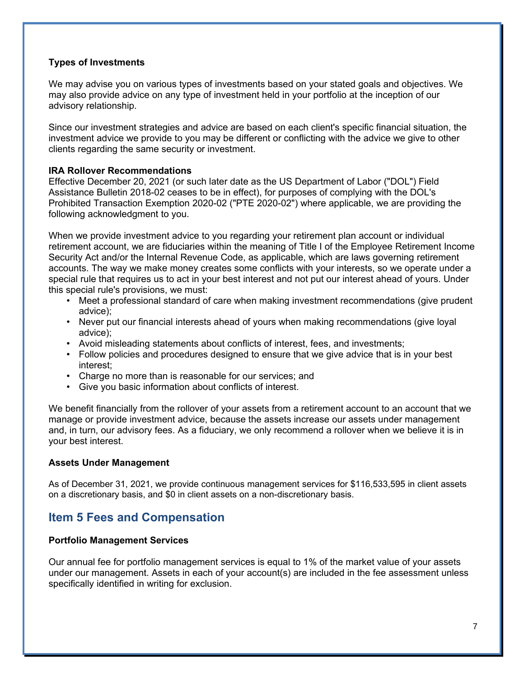### **Types of Investments**

We may advise you on various types of investments based on your stated goals and objectives. We may also provide advice on any type of investment held in your portfolio at the inception of our advisory relationship.

Since our investment strategies and advice are based on each client's specific financial situation, the investment advice we provide to you may be different or conflicting with the advice we give to other clients regarding the same security or investment.

### **IRA Rollover Recommendations**

Effective December 20, 2021 (or such later date as the US Department of Labor ("DOL") Field Assistance Bulletin 2018-02 ceases to be in effect), for purposes of complying with the DOL's Prohibited Transaction Exemption 2020-02 ("PTE 2020-02") where applicable, we are providing the following acknowledgment to you.

When we provide investment advice to you regarding your retirement plan account or individual retirement account, we are fiduciaries within the meaning of Title I of the Employee Retirement Income Security Act and/or the Internal Revenue Code, as applicable, which are laws governing retirement accounts. The way we make money creates some conflicts with your interests, so we operate under a special rule that requires us to act in your best interest and not put our interest ahead of yours. Under this special rule's provisions, we must:

- Meet a professional standard of care when making investment recommendations (give prudent advice);
- Never put our financial interests ahead of yours when making recommendations (give loyal advice);
- Avoid misleading statements about conflicts of interest, fees, and investments;
- Follow policies and procedures designed to ensure that we give advice that is in your best interest;
- Charge no more than is reasonable for our services; and
- Give you basic information about conflicts of interest.

We benefit financially from the rollover of your assets from a retirement account to an account that we manage or provide investment advice, because the assets increase our assets under management and, in turn, our advisory fees. As a fiduciary, we only recommend a rollover when we believe it is in your best interest.

### **Assets Under Management**

As of December 31, 2021, we provide continuous management services for \$116,533,595 in client assets on a discretionary basis, and \$0 in client assets on a non-discretionary basis.

## **Item 5 Fees and Compensation**

### **Portfolio Management Services**

Our annual fee for portfolio management services is equal to 1% of the market value of your assets under our management. Assets in each of your account(s) are included in the fee assessment unless specifically identified in writing for exclusion.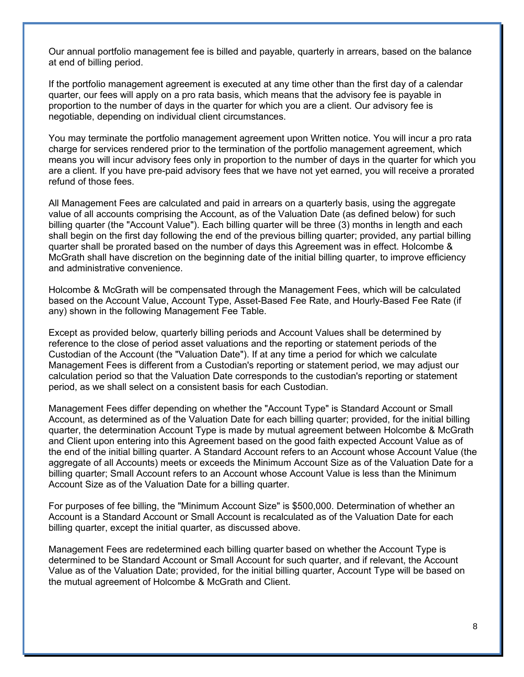Our annual portfolio management fee is billed and payable, quarterly in arrears, based on the balance at end of billing period.

If the portfolio management agreement is executed at any time other than the first day of a calendar quarter, our fees will apply on a pro rata basis, which means that the advisory fee is payable in proportion to the number of days in the quarter for which you are a client. Our advisory fee is negotiable, depending on individual client circumstances.

You may terminate the portfolio management agreement upon Written notice. You will incur a pro rata charge for services rendered prior to the termination of the portfolio management agreement, which means you will incur advisory fees only in proportion to the number of days in the quarter for which you are a client. If you have pre-paid advisory fees that we have not yet earned, you will receive a prorated refund of those fees.

All Management Fees are calculated and paid in arrears on a quarterly basis, using the aggregate value of all accounts comprising the Account, as of the Valuation Date (as defined below) for such billing quarter (the "Account Value"). Each billing quarter will be three (3) months in length and each shall begin on the first day following the end of the previous billing quarter; provided, any partial billing quarter shall be prorated based on the number of days this Agreement was in effect. Holcombe & McGrath shall have discretion on the beginning date of the initial billing quarter, to improve efficiency and administrative convenience.

Holcombe & McGrath will be compensated through the Management Fees, which will be calculated based on the Account Value, Account Type, Asset-Based Fee Rate, and Hourly-Based Fee Rate (if any) shown in the following Management Fee Table.

Except as provided below, quarterly billing periods and Account Values shall be determined by reference to the close of period asset valuations and the reporting or statement periods of the Custodian of the Account (the "Valuation Date"). If at any time a period for which we calculate Management Fees is different from a Custodian's reporting or statement period, we may adjust our calculation period so that the Valuation Date corresponds to the custodian's reporting or statement period, as we shall select on a consistent basis for each Custodian.

Management Fees differ depending on whether the "Account Type" is Standard Account or Small Account, as determined as of the Valuation Date for each billing quarter; provided, for the initial billing quarter, the determination Account Type is made by mutual agreement between Holcombe & McGrath and Client upon entering into this Agreement based on the good faith expected Account Value as of the end of the initial billing quarter. A Standard Account refers to an Account whose Account Value (the aggregate of all Accounts) meets or exceeds the Minimum Account Size as of the Valuation Date for a billing quarter; Small Account refers to an Account whose Account Value is less than the Minimum Account Size as of the Valuation Date for a billing quarter.

For purposes of fee billing, the "Minimum Account Size" is \$500,000. Determination of whether an Account is a Standard Account or Small Account is recalculated as of the Valuation Date for each billing quarter, except the initial quarter, as discussed above.

Management Fees are redetermined each billing quarter based on whether the Account Type is determined to be Standard Account or Small Account for such quarter, and if relevant, the Account Value as of the Valuation Date; provided, for the initial billing quarter, Account Type will be based on the mutual agreement of Holcombe & McGrath and Client.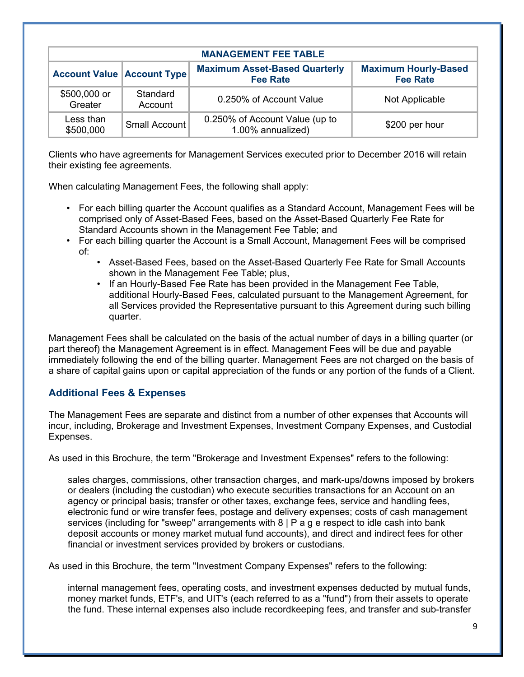| <b>MANAGEMENT FEE TABLE</b>       |                      |                                                         |                                                |  |
|-----------------------------------|----------------------|---------------------------------------------------------|------------------------------------------------|--|
| <b>Account Value Account Type</b> |                      | <b>Maximum Asset-Based Quarterly</b><br><b>Fee Rate</b> | <b>Maximum Hourly-Based</b><br><b>Fee Rate</b> |  |
| \$500,000 or<br>Greater           | Standard<br>Account  | 0.250% of Account Value                                 | Not Applicable                                 |  |
| Less than<br>\$500,000            | <b>Small Account</b> | 0.250% of Account Value (up to<br>1.00% annualized)     | \$200 per hour                                 |  |

Clients who have agreements for Management Services executed prior to December 2016 will retain their existing fee agreements.

When calculating Management Fees, the following shall apply:

- For each billing quarter the Account qualifies as a Standard Account, Management Fees will be comprised only of Asset-Based Fees, based on the Asset-Based Quarterly Fee Rate for Standard Accounts shown in the Management Fee Table; and
- For each billing quarter the Account is a Small Account, Management Fees will be comprised of:
	- Asset-Based Fees, based on the Asset-Based Quarterly Fee Rate for Small Accounts shown in the Management Fee Table; plus,
	- If an Hourly-Based Fee Rate has been provided in the Management Fee Table, additional Hourly-Based Fees, calculated pursuant to the Management Agreement, for all Services provided the Representative pursuant to this Agreement during such billing quarter.

Management Fees shall be calculated on the basis of the actual number of days in a billing quarter (or part thereof) the Management Agreement is in effect. Management Fees will be due and payable immediately following the end of the billing quarter. Management Fees are not charged on the basis of a share of capital gains upon or capital appreciation of the funds or any portion of the funds of a Client.

## **Additional Fees & Expenses**

The Management Fees are separate and distinct from a number of other expenses that Accounts will incur, including, Brokerage and Investment Expenses, Investment Company Expenses, and Custodial Expenses.

As used in this Brochure, the term "Brokerage and Investment Expenses" refers to the following:

sales charges, commissions, other transaction charges, and mark-ups/downs imposed by brokers or dealers (including the custodian) who execute securities transactions for an Account on an agency or principal basis; transfer or other taxes, exchange fees, service and handling fees, electronic fund or wire transfer fees, postage and delivery expenses; costs of cash management services (including for "sweep" arrangements with 8 | P a g e respect to idle cash into bank deposit accounts or money market mutual fund accounts), and direct and indirect fees for other financial or investment services provided by brokers or custodians.

As used in this Brochure, the term "Investment Company Expenses" refers to the following:

internal management fees, operating costs, and investment expenses deducted by mutual funds, money market funds, ETF's, and UIT's (each referred to as a "fund") from their assets to operate the fund. These internal expenses also include recordkeeping fees, and transfer and sub-transfer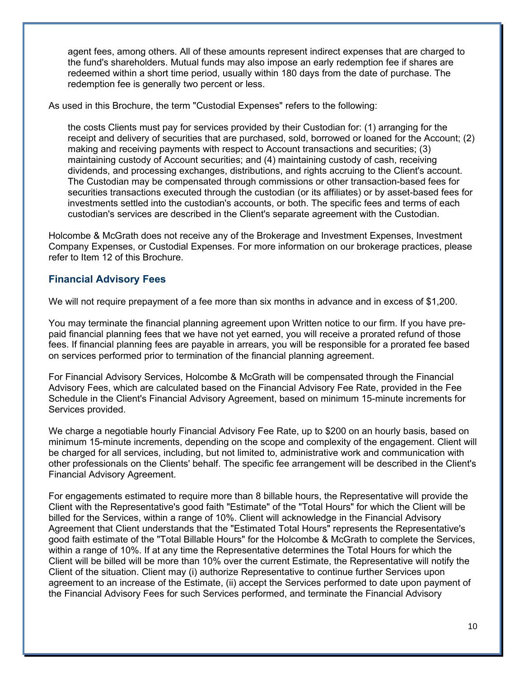agent fees, among others. All of these amounts represent indirect expenses that are charged to the fund's shareholders. Mutual funds may also impose an early redemption fee if shares are redeemed within a short time period, usually within 180 days from the date of purchase. The redemption fee is generally two percent or less.

As used in this Brochure, the term "Custodial Expenses" refers to the following:

the costs Clients must pay for services provided by their Custodian for: (1) arranging for the receipt and delivery of securities that are purchased, sold, borrowed or loaned for the Account; (2) making and receiving payments with respect to Account transactions and securities; (3) maintaining custody of Account securities; and (4) maintaining custody of cash, receiving dividends, and processing exchanges, distributions, and rights accruing to the Client's account. The Custodian may be compensated through commissions or other transaction-based fees for securities transactions executed through the custodian (or its affiliates) or by asset-based fees for investments settled into the custodian's accounts, or both. The specific fees and terms of each custodian's services are described in the Client's separate agreement with the Custodian.

Holcombe & McGrath does not receive any of the Brokerage and Investment Expenses, Investment Company Expenses, or Custodial Expenses. For more information on our brokerage practices, please refer to Item 12 of this Brochure.

### **Financial Advisory Fees**

We will not require prepayment of a fee more than six months in advance and in excess of \$1,200.

You may terminate the financial planning agreement upon Written notice to our firm. If you have prepaid financial planning fees that we have not yet earned, you will receive a prorated refund of those fees. If financial planning fees are payable in arrears, you will be responsible for a prorated fee based on services performed prior to termination of the financial planning agreement.

For Financial Advisory Services, Holcombe & McGrath will be compensated through the Financial Advisory Fees, which are calculated based on the Financial Advisory Fee Rate, provided in the Fee Schedule in the Client's Financial Advisory Agreement, based on minimum 15-minute increments for Services provided.

We charge a negotiable hourly Financial Advisory Fee Rate, up to \$200 on an hourly basis, based on minimum 15-minute increments, depending on the scope and complexity of the engagement. Client will be charged for all services, including, but not limited to, administrative work and communication with other professionals on the Clients' behalf. The specific fee arrangement will be described in the Client's Financial Advisory Agreement.

For engagements estimated to require more than 8 billable hours, the Representative will provide the Client with the Representative's good faith "Estimate" of the "Total Hours" for which the Client will be billed for the Services, within a range of 10%. Client will acknowledge in the Financial Advisory Agreement that Client understands that the "Estimated Total Hours" represents the Representative's good faith estimate of the "Total Billable Hours" for the Holcombe & McGrath to complete the Services, within a range of 10%. If at any time the Representative determines the Total Hours for which the Client will be billed will be more than 10% over the current Estimate, the Representative will notify the Client of the situation. Client may (i) authorize Representative to continue further Services upon agreement to an increase of the Estimate, (ii) accept the Services performed to date upon payment of the Financial Advisory Fees for such Services performed, and terminate the Financial Advisory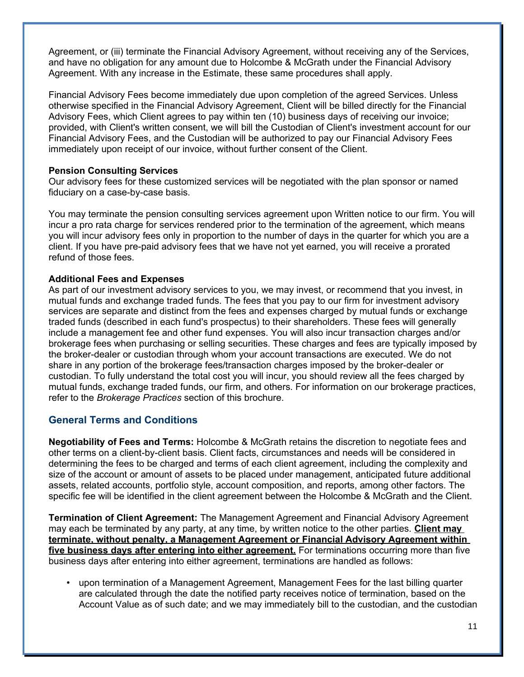Agreement, or (iii) terminate the Financial Advisory Agreement, without receiving any of the Services, and have no obligation for any amount due to Holcombe & McGrath under the Financial Advisory Agreement. With any increase in the Estimate, these same procedures shall apply.

Financial Advisory Fees become immediately due upon completion of the agreed Services. Unless otherwise specified in the Financial Advisory Agreement, Client will be billed directly for the Financial Advisory Fees, which Client agrees to pay within ten (10) business days of receiving our invoice; provided, with Client's written consent, we will bill the Custodian of Client's investment account for our Financial Advisory Fees, and the Custodian will be authorized to pay our Financial Advisory Fees immediately upon receipt of our invoice, without further consent of the Client.

#### **Pension Consulting Services**

Our advisory fees for these customized services will be negotiated with the plan sponsor or named fiduciary on a case-by-case basis.

You may terminate the pension consulting services agreement upon Written notice to our firm. You will incur a pro rata charge for services rendered prior to the termination of the agreement, which means you will incur advisory fees only in proportion to the number of days in the quarter for which you are a client. If you have pre-paid advisory fees that we have not yet earned, you will receive a prorated refund of those fees.

### **Additional Fees and Expenses**

As part of our investment advisory services to you, we may invest, or recommend that you invest, in mutual funds and exchange traded funds. The fees that you pay to our firm for investment advisory services are separate and distinct from the fees and expenses charged by mutual funds or exchange traded funds (described in each fund's prospectus) to their shareholders. These fees will generally include a management fee and other fund expenses. You will also incur transaction charges and/or brokerage fees when purchasing or selling securities. These charges and fees are typically imposed by the broker-dealer or custodian through whom your account transactions are executed. We do not share in any portion of the brokerage fees/transaction charges imposed by the broker-dealer or custodian. To fully understand the total cost you will incur, you should review all the fees charged by mutual funds, exchange traded funds, our firm, and others. For information on our brokerage practices, refer to the *Brokerage Practices* section of this brochure.

## **General Terms and Conditions**

**Negotiability of Fees and Terms:** Holcombe & McGrath retains the discretion to negotiate fees and other terms on a client-by-client basis. Client facts, circumstances and needs will be considered in determining the fees to be charged and terms of each client agreement, including the complexity and size of the account or amount of assets to be placed under management, anticipated future additional assets, related accounts, portfolio style, account composition, and reports, among other factors. The specific fee will be identified in the client agreement between the Holcombe & McGrath and the Client.

**Termination of Client Agreement:** The Management Agreement and Financial Advisory Agreement may each be terminated by any party, at any time, by written notice to the other parties. **Client may terminate, without penalty, a Management Agreement or Financial Advisory Agreement within**  five business days after entering into either agreement. For terminations occurring more than five business days after entering into either agreement, terminations are handled as follows:

• upon termination of a Management Agreement, Management Fees for the last billing quarter are calculated through the date the notified party receives notice of termination, based on the Account Value as of such date; and we may immediately bill to the custodian, and the custodian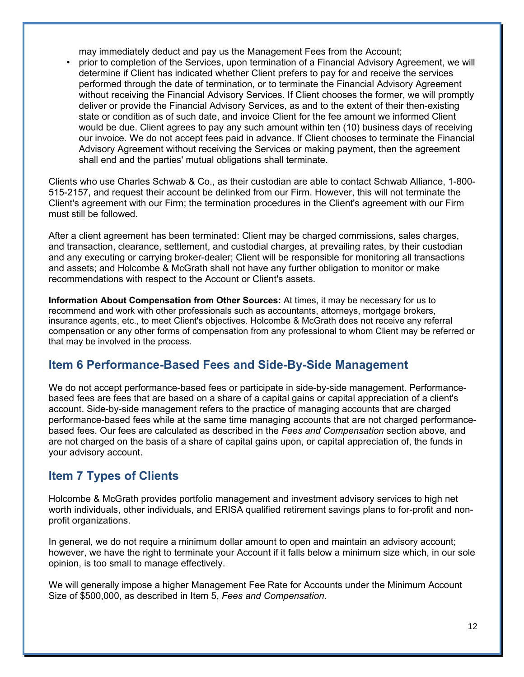may immediately deduct and pay us the Management Fees from the Account;

• prior to completion of the Services, upon termination of a Financial Advisory Agreement, we will determine if Client has indicated whether Client prefers to pay for and receive the services performed through the date of termination, or to terminate the Financial Advisory Agreement without receiving the Financial Advisory Services. If Client chooses the former, we will promptly deliver or provide the Financial Advisory Services, as and to the extent of their then-existing state or condition as of such date, and invoice Client for the fee amount we informed Client would be due. Client agrees to pay any such amount within ten (10) business days of receiving our invoice. We do not accept fees paid in advance. If Client chooses to terminate the Financial Advisory Agreement without receiving the Services or making payment, then the agreement shall end and the parties' mutual obligations shall terminate.

Clients who use Charles Schwab & Co., as their custodian are able to contact Schwab Alliance, 1-800- 515-2157, and request their account be delinked from our Firm. However, this will not terminate the Client's agreement with our Firm; the termination procedures in the Client's agreement with our Firm must still be followed.

After a client agreement has been terminated: Client may be charged commissions, sales charges, and transaction, clearance, settlement, and custodial charges, at prevailing rates, by their custodian and any executing or carrying broker-dealer; Client will be responsible for monitoring all transactions and assets; and Holcombe & McGrath shall not have any further obligation to monitor or make recommendations with respect to the Account or Client's assets.

**Information About Compensation from Other Sources:** At times, it may be necessary for us to recommend and work with other professionals such as accountants, attorneys, mortgage brokers, insurance agents, etc., to meet Client's objectives. Holcombe & McGrath does not receive any referral compensation or any other forms of compensation from any professional to whom Client may be referred or that may be involved in the process.

## **Item 6 Performance-Based Fees and Side-By-Side Management**

We do not accept performance-based fees or participate in side-by-side management. Performancebased fees are fees that are based on a share of a capital gains or capital appreciation of a client's account. Side-by-side management refers to the practice of managing accounts that are charged performance-based fees while at the same time managing accounts that are not charged performancebased fees. Our fees are calculated as described in the *Fees and Compensation* section above, and are not charged on the basis of a share of capital gains upon, or capital appreciation of, the funds in your advisory account.

## **Item 7 Types of Clients**

Holcombe & McGrath provides portfolio management and investment advisory services to high net worth individuals, other individuals, and ERISA qualified retirement savings plans to for-profit and nonprofit organizations.

In general, we do not require a minimum dollar amount to open and maintain an advisory account; however, we have the right to terminate your Account if it falls below a minimum size which, in our sole opinion, is too small to manage effectively.

We will generally impose a higher Management Fee Rate for Accounts under the Minimum Account Size of \$500,000, as described in Item 5, *Fees and Compensation*.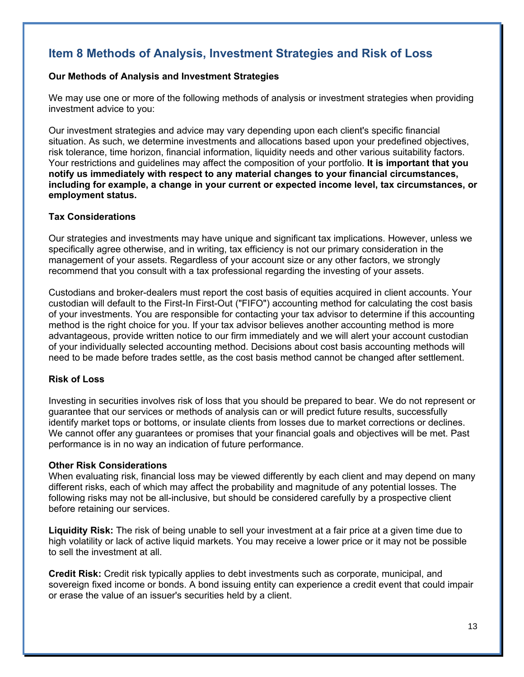## **Item 8 Methods of Analysis, Investment Strategies and Risk of Loss**

#### **Our Methods of Analysis and Investment Strategies**

We may use one or more of the following methods of analysis or investment strategies when providing investment advice to you:

Our investment strategies and advice may vary depending upon each client's specific financial situation. As such, we determine investments and allocations based upon your predefined objectives, risk tolerance, time horizon, financial information, liquidity needs and other various suitability factors. Your restrictions and guidelines may affect the composition of your portfolio. **It is important that you notify us immediately with respect to any material changes to your financial circumstances, including for example, a change in your current or expected income level, tax circumstances, or employment status.**

### **Tax Considerations**

Our strategies and investments may have unique and significant tax implications. However, unless we specifically agree otherwise, and in writing, tax efficiency is not our primary consideration in the management of your assets. Regardless of your account size or any other factors, we strongly recommend that you consult with a tax professional regarding the investing of your assets.

Custodians and broker-dealers must report the cost basis of equities acquired in client accounts. Your custodian will default to the First-In First-Out ("FIFO") accounting method for calculating the cost basis of your investments. You are responsible for contacting your tax advisor to determine if this accounting method is the right choice for you. If your tax advisor believes another accounting method is more advantageous, provide written notice to our firm immediately and we will alert your account custodian of your individually selected accounting method. Decisions about cost basis accounting methods will need to be made before trades settle, as the cost basis method cannot be changed after settlement.

### **Risk of Loss**

Investing in securities involves risk of loss that you should be prepared to bear. We do not represent or guarantee that our services or methods of analysis can or will predict future results, successfully identify market tops or bottoms, or insulate clients from losses due to market corrections or declines. We cannot offer any guarantees or promises that your financial goals and objectives will be met. Past performance is in no way an indication of future performance.

#### **Other Risk Considerations**

When evaluating risk, financial loss may be viewed differently by each client and may depend on many different risks, each of which may affect the probability and magnitude of any potential losses. The following risks may not be all-inclusive, but should be considered carefully by a prospective client before retaining our services.

**Liquidity Risk:** The risk of being unable to sell your investment at a fair price at a given time due to high volatility or lack of active liquid markets. You may receive a lower price or it may not be possible to sell the investment at all.

**Credit Risk:** Credit risk typically applies to debt investments such as corporate, municipal, and sovereign fixed income or bonds. A bond issuing entity can experience a credit event that could impair or erase the value of an issuer's securities held by a client.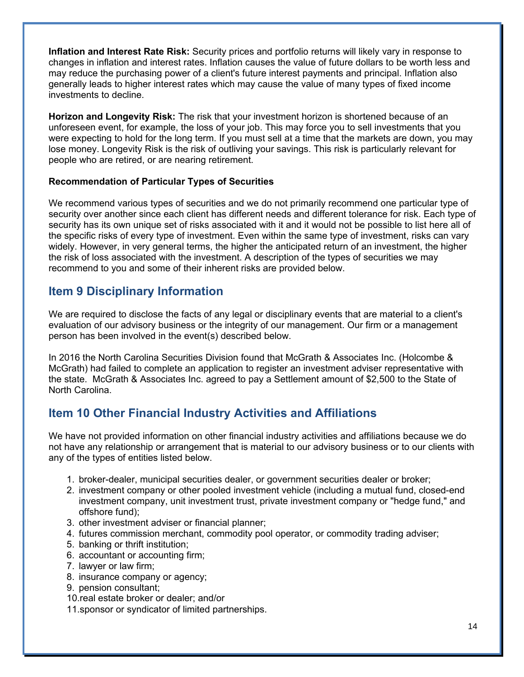**Inflation and Interest Rate Risk:** Security prices and portfolio returns will likely vary in response to changes in inflation and interest rates. Inflation causes the value of future dollars to be worth less and may reduce the purchasing power of a client's future interest payments and principal. Inflation also generally leads to higher interest rates which may cause the value of many types of fixed income investments to decline.

**Horizon and Longevity Risk:** The risk that your investment horizon is shortened because of an unforeseen event, for example, the loss of your job. This may force you to sell investments that you were expecting to hold for the long term. If you must sell at a time that the markets are down, you may lose money. Longevity Risk is the risk of outliving your savings. This risk is particularly relevant for people who are retired, or are nearing retirement.

### **Recommendation of Particular Types of Securities**

We recommend various types of securities and we do not primarily recommend one particular type of security over another since each client has different needs and different tolerance for risk. Each type of security has its own unique set of risks associated with it and it would not be possible to list here all of the specific risks of every type of investment. Even within the same type of investment, risks can vary widely. However, in very general terms, the higher the anticipated return of an investment, the higher the risk of loss associated with the investment. A description of the types of securities we may recommend to you and some of their inherent risks are provided below.

## **Item 9 Disciplinary Information**

We are required to disclose the facts of any legal or disciplinary events that are material to a client's evaluation of our advisory business or the integrity of our management. Our firm or a management person has been involved in the event(s) described below.

In 2016 the North Carolina Securities Division found that McGrath & Associates Inc. (Holcombe & McGrath) had failed to complete an application to register an investment adviser representative with the state. McGrath & Associates Inc. agreed to pay a Settlement amount of \$2,500 to the State of North Carolina.

## **Item 10 Other Financial Industry Activities and Affiliations**

We have not provided information on other financial industry activities and affiliations because we do not have any relationship or arrangement that is material to our advisory business or to our clients with any of the types of entities listed below.

- 1. broker-dealer, municipal securities dealer, or government securities dealer or broker;
- 2. investment company or other pooled investment vehicle (including a mutual fund, closed-end investment company, unit investment trust, private investment company or "hedge fund," and offshore fund);
- 3. other investment adviser or financial planner;
- 4. futures commission merchant, commodity pool operator, or commodity trading adviser;
- 5. banking or thrift institution;
- 6. accountant or accounting firm;
- 7. lawyer or law firm;
- 8. insurance company or agency;
- 9. pension consultant;
- 10.real estate broker or dealer; and/or
- 11.sponsor or syndicator of limited partnerships.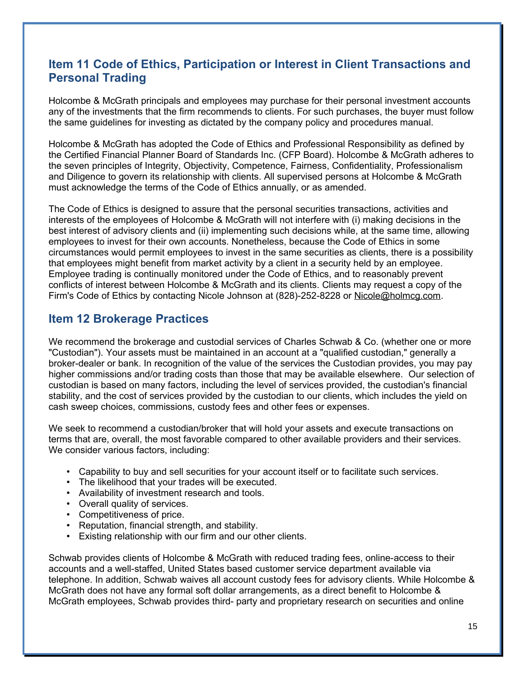## **Item 11 Code of Ethics, Participation or Interest in Client Transactions and Personal Trading**

Holcombe & McGrath principals and employees may purchase for their personal investment accounts any of the investments that the firm recommends to clients. For such purchases, the buyer must follow the same guidelines for investing as dictated by the company policy and procedures manual.

Holcombe & McGrath has adopted the Code of Ethics and Professional Responsibility as defined by the Certified Financial Planner Board of Standards Inc. (CFP Board). Holcombe & McGrath adheres to the seven principles of Integrity, Objectivity, Competence, Fairness, Confidentiality, Professionalism and Diligence to govern its relationship with clients. All supervised persons at Holcombe & McGrath must acknowledge the terms of the Code of Ethics annually, or as amended.

The Code of Ethics is designed to assure that the personal securities transactions, activities and interests of the employees of Holcombe & McGrath will not interfere with (i) making decisions in the best interest of advisory clients and (ii) implementing such decisions while, at the same time, allowing employees to invest for their own accounts. Nonetheless, because the Code of Ethics in some circumstances would permit employees to invest in the same securities as clients, there is a possibility that employees might benefit from market activity by a client in a security held by an employee. Employee trading is continually monitored under the Code of Ethics, and to reasonably prevent conflicts of interest between Holcombe & McGrath and its clients. Clients may request a copy of the Firm's Code of Ethics by contacting Nicole Johnson at (828)-252-8228 or Nicole@holmcg.com.

## **Item 12 Brokerage Practices**

We recommend the brokerage and custodial services of Charles Schwab & Co. (whether one or more "Custodian"). Your assets must be maintained in an account at a "qualified custodian," generally a broker-dealer or bank. In recognition of the value of the services the Custodian provides, you may pay higher commissions and/or trading costs than those that may be available elsewhere. Our selection of custodian is based on many factors, including the level of services provided, the custodian's financial stability, and the cost of services provided by the custodian to our clients, which includes the yield on cash sweep choices, commissions, custody fees and other fees or expenses.

We seek to recommend a custodian/broker that will hold your assets and execute transactions on terms that are, overall, the most favorable compared to other available providers and their services. We consider various factors, including:

- Capability to buy and sell securities for your account itself or to facilitate such services.
- The likelihood that your trades will be executed.
- Availability of investment research and tools.
- Overall quality of services.
- Competitiveness of price.
- Reputation, financial strength, and stability.
- Existing relationship with our firm and our other clients.

Schwab provides clients of Holcombe & McGrath with reduced trading fees, online-access to their accounts and a well-staffed, United States based customer service department available via telephone. In addition, Schwab waives all account custody fees for advisory clients. While Holcombe & McGrath does not have any formal soft dollar arrangements, as a direct benefit to Holcombe & McGrath employees, Schwab provides third- party and proprietary research on securities and online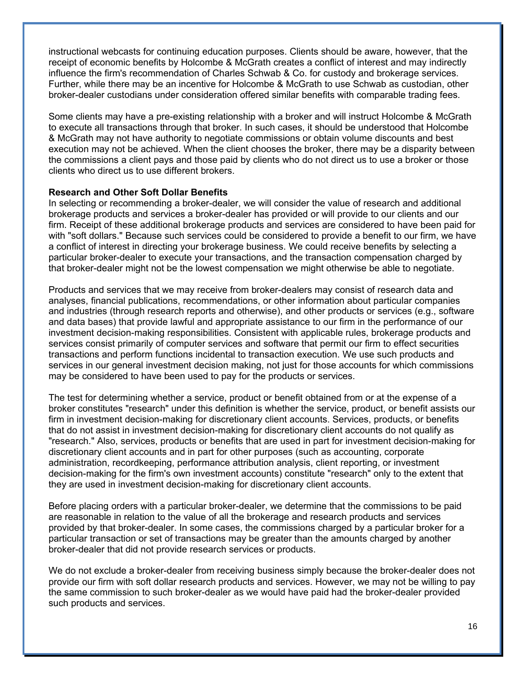instructional webcasts for continuing education purposes. Clients should be aware, however, that the receipt of economic benefits by Holcombe & McGrath creates a conflict of interest and may indirectly influence the firm's recommendation of Charles Schwab & Co. for custody and brokerage services. Further, while there may be an incentive for Holcombe & McGrath to use Schwab as custodian, other broker-dealer custodians under consideration offered similar benefits with comparable trading fees.

Some clients may have a pre-existing relationship with a broker and will instruct Holcombe & McGrath to execute all transactions through that broker. In such cases, it should be understood that Holcombe & McGrath may not have authority to negotiate commissions or obtain volume discounts and best execution may not be achieved. When the client chooses the broker, there may be a disparity between the commissions a client pays and those paid by clients who do not direct us to use a broker or those clients who direct us to use different brokers.

#### **Research and Other Soft Dollar Benefits**

In selecting or recommending a broker-dealer, we will consider the value of research and additional brokerage products and services a broker-dealer has provided or will provide to our clients and our firm. Receipt of these additional brokerage products and services are considered to have been paid for with "soft dollars." Because such services could be considered to provide a benefit to our firm, we have a conflict of interest in directing your brokerage business. We could receive benefits by selecting a particular broker-dealer to execute your transactions, and the transaction compensation charged by that broker-dealer might not be the lowest compensation we might otherwise be able to negotiate.

Products and services that we may receive from broker-dealers may consist of research data and analyses, financial publications, recommendations, or other information about particular companies and industries (through research reports and otherwise), and other products or services (e.g., software and data bases) that provide lawful and appropriate assistance to our firm in the performance of our investment decision-making responsibilities. Consistent with applicable rules, brokerage products and services consist primarily of computer services and software that permit our firm to effect securities transactions and perform functions incidental to transaction execution. We use such products and services in our general investment decision making, not just for those accounts for which commissions may be considered to have been used to pay for the products or services.

The test for determining whether a service, product or benefit obtained from or at the expense of a broker constitutes "research" under this definition is whether the service, product, or benefit assists our firm in investment decision-making for discretionary client accounts. Services, products, or benefits that do not assist in investment decision-making for discretionary client accounts do not qualify as "research." Also, services, products or benefits that are used in part for investment decision-making for discretionary client accounts and in part for other purposes (such as accounting, corporate administration, recordkeeping, performance attribution analysis, client reporting, or investment decision-making for the firm's own investment accounts) constitute "research" only to the extent that they are used in investment decision-making for discretionary client accounts.

Before placing orders with a particular broker-dealer, we determine that the commissions to be paid are reasonable in relation to the value of all the brokerage and research products and services provided by that broker-dealer. In some cases, the commissions charged by a particular broker for a particular transaction or set of transactions may be greater than the amounts charged by another broker-dealer that did not provide research services or products.

We do not exclude a broker-dealer from receiving business simply because the broker-dealer does not provide our firm with soft dollar research products and services. However, we may not be willing to pay the same commission to such broker-dealer as we would have paid had the broker-dealer provided such products and services.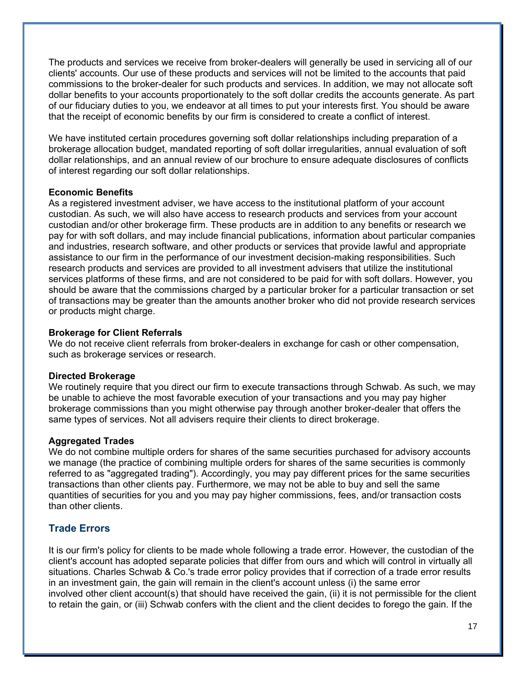The products and services we receive from broker-dealers will generally be used in servicing all of our clients' accounts. Our use of these products and services will not be limited to the accounts that paid commissions to the broker-dealer for such products and services. In addition, we may not allocate soft dollar benefits to your accounts proportionately to the soft dollar credits the accounts generate. As part of our fiduciary duties to you, we endeavor at all times to put your interests first. You should be aware that the receipt of economic benefits by our firm is considered to create a conflict of interest.

We have instituted certain procedures governing soft dollar relationships including preparation of a brokerage allocation budget, mandated reporting of soft dollar irregularities, annual evaluation of soft dollar relationships, and an annual review of our brochure to ensure adequate disclosures of conflicts of interest regarding our soft dollar relationships.

#### **Economic Benefits**

As a registered investment adviser, we have access to the institutional platform of your account custodian. As such, we will also have access to research products and services from your account custodian and/or other brokerage firm. These products are in addition to any benefits or research we pay for with soft dollars, and may include financial publications, information about particular companies and industries, research software, and other products or services that provide lawful and appropriate assistance to our firm in the performance of our investment decision-making responsibilities. Such research products and services are provided to all investment advisers that utilize the institutional services platforms of these firms, and are not considered to be paid for with soft dollars. However, you should be aware that the commissions charged by a particular broker for a particular transaction or set of transactions may be greater than the amounts another broker who did not provide research services or products might charge.

#### **Brokerage for Client Referrals**

We do not receive client referrals from broker-dealers in exchange for cash or other compensation, such as brokerage services or research.

#### **Directed Brokerage**

We routinely require that you direct our firm to execute transactions through Schwab. As such, we may be unable to achieve the most favorable execution of your transactions and you may pay higher brokerage commissions than you might otherwise pay through another broker-dealer that offers the same types of services. Not all advisers require their clients to direct brokerage.

#### **Aggregated Trades**

We do not combine multiple orders for shares of the same securities purchased for advisory accounts we manage (the practice of combining multiple orders for shares of the same securities is commonly referred to as "aggregated trading"). Accordingly, you may pay different prices for the same securities transactions than other clients pay. Furthermore, we may not be able to buy and sell the same quantities of securities for you and you may pay higher commissions, fees, and/or transaction costs than other clients.

## **Trade Errors**

It is our firm's policy for clients to be made whole following a trade error. However, the custodian of the client's account has adopted separate policies that differ from ours and which will control in virtually all situations. Charles Schwab & Co.'s trade error policy provides that if correction of a trade error results in an investment gain, the gain will remain in the client's account unless (i) the same error involved other client account(s) that should have received the gain, (ii) it is not permissible for the client to retain the gain, or (iii) Schwab confers with the client and the client decides to forego the gain. If the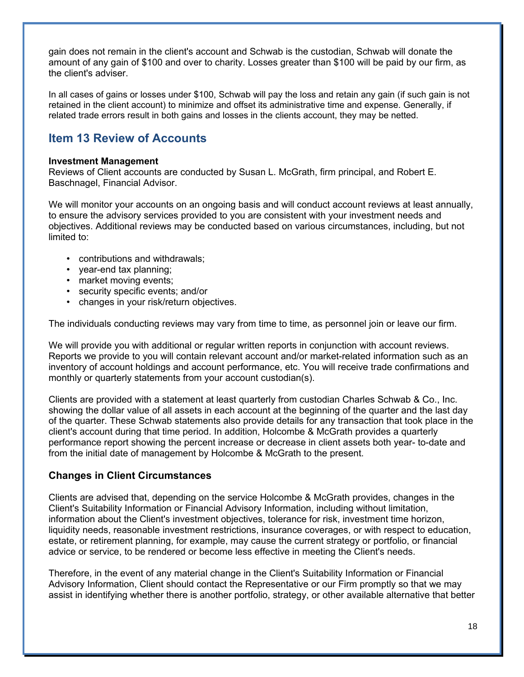gain does not remain in the client's account and Schwab is the custodian, Schwab will donate the amount of any gain of \$100 and over to charity. Losses greater than \$100 will be paid by our firm, as the client's adviser.

In all cases of gains or losses under \$100, Schwab will pay the loss and retain any gain (if such gain is not retained in the client account) to minimize and offset its administrative time and expense. Generally, if related trade errors result in both gains and losses in the clients account, they may be netted.

## **Item 13 Review of Accounts**

#### **Investment Management**

Reviews of Client accounts are conducted by Susan L. McGrath, firm principal, and Robert E. Baschnagel, Financial Advisor.

We will monitor your accounts on an ongoing basis and will conduct account reviews at least annually, to ensure the advisory services provided to you are consistent with your investment needs and objectives. Additional reviews may be conducted based on various circumstances, including, but not limited to:

- contributions and withdrawals;
- year-end tax planning;
- market moving events;
- security specific events; and/or
- changes in your risk/return objectives.

The individuals conducting reviews may vary from time to time, as personnel join or leave our firm.

We will provide you with additional or regular written reports in conjunction with account reviews. Reports we provide to you will contain relevant account and/or market-related information such as an inventory of account holdings and account performance, etc. You will receive trade confirmations and monthly or quarterly statements from your account custodian(s).

Clients are provided with a statement at least quarterly from custodian Charles Schwab & Co., Inc. showing the dollar value of all assets in each account at the beginning of the quarter and the last day of the quarter. These Schwab statements also provide details for any transaction that took place in the client's account during that time period. In addition, Holcombe & McGrath provides a quarterly performance report showing the percent increase or decrease in client assets both year- to-date and from the initial date of management by Holcombe & McGrath to the present.

## **Changes in Client Circumstances**

Clients are advised that, depending on the service Holcombe & McGrath provides, changes in the Client's Suitability Information or Financial Advisory Information, including without limitation, information about the Client's investment objectives, tolerance for risk, investment time horizon, liquidity needs, reasonable investment restrictions, insurance coverages, or with respect to education, estate, or retirement planning, for example, may cause the current strategy or portfolio, or financial advice or service, to be rendered or become less effective in meeting the Client's needs.

Therefore, in the event of any material change in the Client's Suitability Information or Financial Advisory Information, Client should contact the Representative or our Firm promptly so that we may assist in identifying whether there is another portfolio, strategy, or other available alternative that better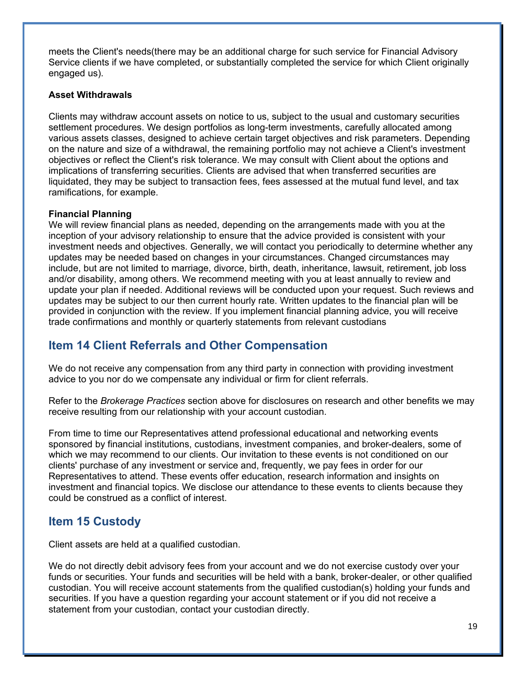meets the Client's needs(there may be an additional charge for such service for Financial Advisory Service clients if we have completed, or substantially completed the service for which Client originally engaged us).

### **Asset Withdrawals**

Clients may withdraw account assets on notice to us, subject to the usual and customary securities settlement procedures. We design portfolios as long-term investments, carefully allocated among various assets classes, designed to achieve certain target objectives and risk parameters. Depending on the nature and size of a withdrawal, the remaining portfolio may not achieve a Client's investment objectives or reflect the Client's risk tolerance. We may consult with Client about the options and implications of transferring securities. Clients are advised that when transferred securities are liquidated, they may be subject to transaction fees, fees assessed at the mutual fund level, and tax ramifications, for example.

#### **Financial Planning**

We will review financial plans as needed, depending on the arrangements made with you at the inception of your advisory relationship to ensure that the advice provided is consistent with your investment needs and objectives. Generally, we will contact you periodically to determine whether any updates may be needed based on changes in your circumstances. Changed circumstances may include, but are not limited to marriage, divorce, birth, death, inheritance, lawsuit, retirement, job loss and/or disability, among others. We recommend meeting with you at least annually to review and update your plan if needed. Additional reviews will be conducted upon your request. Such reviews and updates may be subject to our then current hourly rate. Written updates to the financial plan will be provided in conjunction with the review. If you implement financial planning advice, you will receive trade confirmations and monthly or quarterly statements from relevant custodians

## **Item 14 Client Referrals and Other Compensation**

We do not receive any compensation from any third party in connection with providing investment advice to you nor do we compensate any individual or firm for client referrals.

Refer to the *Brokerage Practices* section above for disclosures on research and other benefits we may receive resulting from our relationship with your account custodian.

From time to time our Representatives attend professional educational and networking events sponsored by financial institutions, custodians, investment companies, and broker-dealers, some of which we may recommend to our clients. Our invitation to these events is not conditioned on our clients' purchase of any investment or service and, frequently, we pay fees in order for our Representatives to attend. These events offer education, research information and insights on investment and financial topics. We disclose our attendance to these events to clients because they could be construed as a conflict of interest.

## **Item 15 Custody**

Client assets are held at a qualified custodian.

We do not directly debit advisory fees from your account and we do not exercise custody over your funds or securities. Your funds and securities will be held with a bank, broker-dealer, or other qualified custodian. You will receive account statements from the qualified custodian(s) holding your funds and securities. If you have a question regarding your account statement or if you did not receive a statement from your custodian, contact your custodian directly.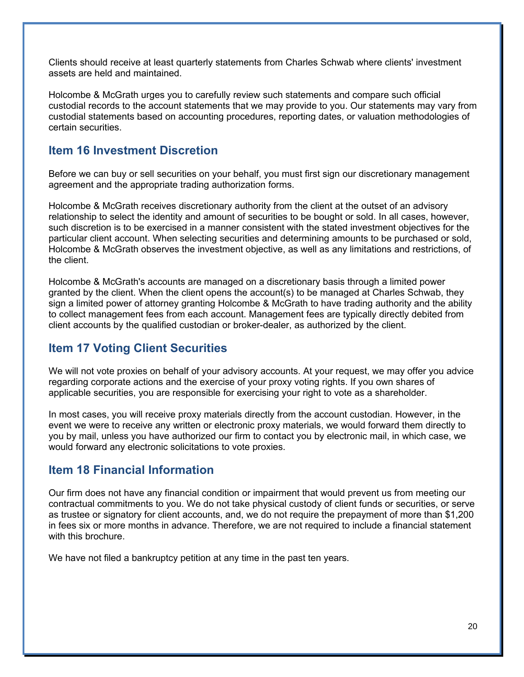Clients should receive at least quarterly statements from Charles Schwab where clients' investment assets are held and maintained.

Holcombe & McGrath urges you to carefully review such statements and compare such official custodial records to the account statements that we may provide to you. Our statements may vary from custodial statements based on accounting procedures, reporting dates, or valuation methodologies of certain securities.

## **Item 16 Investment Discretion**

Before we can buy or sell securities on your behalf, you must first sign our discretionary management agreement and the appropriate trading authorization forms.

Holcombe & McGrath receives discretionary authority from the client at the outset of an advisory relationship to select the identity and amount of securities to be bought or sold. In all cases, however, such discretion is to be exercised in a manner consistent with the stated investment objectives for the particular client account. When selecting securities and determining amounts to be purchased or sold, Holcombe & McGrath observes the investment objective, as well as any limitations and restrictions, of the client.

Holcombe & McGrath's accounts are managed on a discretionary basis through a limited power granted by the client. When the client opens the account(s) to be managed at Charles Schwab, they sign a limited power of attorney granting Holcombe & McGrath to have trading authority and the ability to collect management fees from each account. Management fees are typically directly debited from client accounts by the qualified custodian or broker-dealer, as authorized by the client.

## **Item 17 Voting Client Securities**

We will not vote proxies on behalf of your advisory accounts. At your request, we may offer you advice regarding corporate actions and the exercise of your proxy voting rights. If you own shares of applicable securities, you are responsible for exercising your right to vote as a shareholder.

In most cases, you will receive proxy materials directly from the account custodian. However, in the event we were to receive any written or electronic proxy materials, we would forward them directly to you by mail, unless you have authorized our firm to contact you by electronic mail, in which case, we would forward any electronic solicitations to vote proxies.

## **Item 18 Financial Information**

Our firm does not have any financial condition or impairment that would prevent us from meeting our contractual commitments to you. We do not take physical custody of client funds or securities, or serve as trustee or signatory for client accounts, and, we do not require the prepayment of more than \$1,200 in fees six or more months in advance. Therefore, we are not required to include a financial statement with this brochure.

We have not filed a bankruptcy petition at any time in the past ten years.